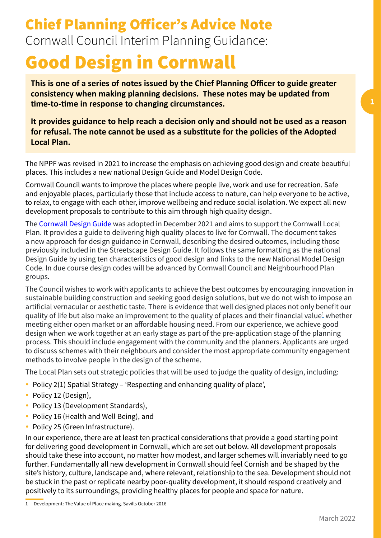# Chief Planning Officer's Advice Note Cornwall Council Interim Planning Guidance:

# Good Design in Cornwall

**This is one of a series of notes issued by the Chief Planning Officer to guide greater consistency when making planning decisions. These notes may be updated from time-to-time in response to changing circumstances.** 

**It provides guidance to help reach a decision only and should not be used as a reason for refusal. The note cannot be used as a substitute for the policies of the Adopted Local Plan.** 

The NPPF was revised in 2021 to increase the emphasis on achieving good design and create beautiful places. This includes a new national Design Guide and Model Design Code.

Cornwall Council wants to improve the places where people live, work and use for recreation. Safe and enjoyable places, particularly those that include access to nature, can help everyone to be active, to relax, to engage with each other, improve wellbeing and reduce social isolation. We expect all new development proposals to contribute to this aim through high quality design.

The [Cornwall Design Guide](https://www.cornwall.gov.uk/media/vzkd4iaj/cornwall-design-guide-december-2021.pdf) was adopted in December 2021 and aims to support the Cornwall Local Plan. It provides a guide to delivering high quality places to live for Cornwall. The document takes a new approach for design guidance in Cornwall, describing the desired outcomes, including those previously included in the Streetscape Design Guide. It follows the same formatting as the national Design Guide by using ten characteristics of good design and links to the new National Model Design Code. In due course design codes will be advanced by Cornwall Council and Neighbourhood Plan groups.

The Council wishes to work with applicants to achieve the best outcomes by encouraging innovation in sustainable building construction and seeking good design solutions, but we do not wish to impose an artificial vernacular or aesthetic taste. There is evidence that well designed places not only benefit our quality of life but also make an improvement to the quality of places and their financial value $^{\text{\tiny 1}}$  whether meeting either open market or an affordable housing need. From our experience, we achieve good design when we work together at an early stage as part of the pre-application stage of the planning process. This should include engagement with the community and the planners. Applicants are urged to discuss schemes with their neighbours and consider the most appropriate community engagement methods to involve people in the design of the scheme.

The Local Plan sets out strategic policies that will be used to judge the quality of design, including:

- Policy 2(1) Spatial Strategy 'Respecting and enhancing quality of place',
- Policy 12 (Design),
- Policy 13 (Development Standards),
- Policy 16 (Health and Well Being), and
- Policy 25 (Green Infrastructure).

In our experience, there are at least ten practical considerations that provide a good starting point for delivering good development in Cornwall, which are set out below. All development proposals should take these into account, no matter how modest, and larger schemes will invariably need to go further. Fundamentally all new development in Cornwall should feel Cornish and be shaped by the site's history, culture, landscape and, where relevant, relationship to the sea. Development should not be stuck in the past or replicate nearby poor-quality development, it should respond creatively and positively to its surroundings, providing healthy places for people and space for nature.

<sup>1</sup> Development: The Value of Place making. Savills October 2016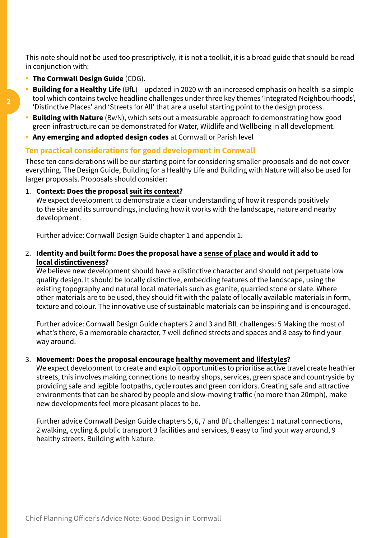This note should not be used too prescriptively, it is not a toolkit, it is a broad guide that should be read in conjunction with:

- **The Cornwall Design Guide** (CDG).
- **Building for a Healthy Life** (BfL) updated in 2020 with an increased emphasis on health is a simple tool which contains twelve headline challenges under three key themes 'Integrated Neighbourhoods', 'Distinctive Places' and 'Streets for All' that are a useful starting point to the design process.
- **Building with Nature** (BwN), which sets out a measurable approach to demonstrating how good green infrastructure can be demonstrated for Water, Wildlife and Wellbeing in all development.
- **Any emerging and adopted design codes** at Cornwall or Parish level

## **Ten practical considerations for good development in Cornwall**

These ten considerations will be our starting point for considering smaller proposals and do not cover everything. The Design Guide, Building for a Healthy Life and Building with Nature will also be used for larger proposals. Proposals should consider:

1. **Context: Does the proposal suit its context?** 

We expect development to demonstrate a clear understanding of how it responds positively to the site and its surroundings, including how it works with the landscape, nature and nearby development.

Further advice: Cornwall Design Guide chapter 1 and appendix 1.

2. **Identity and built form: Does the proposal have a sense of place and would it add to local distinctiveness?** 

We believe new development should have a distinctive character and should not perpetuate low quality design. It should be locally distinctive, embedding features of the landscape, using the existing topography and natural local materials such as granite, quarried stone or slate. Where other materials are to be used, they should fit with the palate of locally available materials in form, texture and colour. The innovative use of sustainable materials can be inspiring and is encouraged.

Further advice: Cornwall Design Guide chapters 2 and 3 and BfL challenges: 5 Making the most of what's there, 6 a memorable character, 7 well defined streets and spaces and 8 easy to find your way around.

#### 3. **Movement: Does the proposal encourage healthy movement and lifestyles?**

We expect development to create and exploit opportunities to prioritise active travel create heathier streets, this involves making connections to nearby shops, services, green space and countryside by providing safe and legible footpaths, cycle routes and green corridors. Creating safe and attractive environments that can be shared by people and slow-moving traffic (no more than 20mph), make new developments feel more pleasant places to be.

Further advice Cornwall Design Guide chapters 5, 6, 7 and BfL challenges: 1 natural connections, 2 walking, cycling & public transport 3 facilities and services, 8 easy to find your way around, 9 healthy streets. Building with Nature.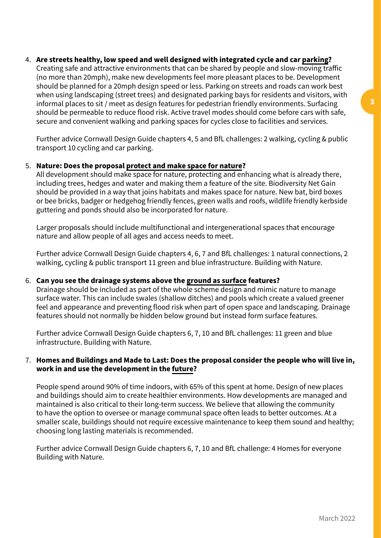4. **Are streets healthy, low speed and well designed with integrated cycle and car parking?**

Creating safe and attractive environments that can be shared by people and slow-moving traffic (no more than 20mph), make new developments feel more pleasant places to be. Development should be planned for a 20mph design speed or less. Parking on streets and roads can work best when using landscaping (street trees) and designated parking bays for residents and visitors, with informal places to sit / meet as design features for pedestrian friendly environments. Surfacing should be permeable to reduce flood risk. Active travel modes should come before cars with safe, secure and convenient walking and parking spaces for cycles close to facilities and services.

Further advice Cornwall Design Guide chapters 4, 5 and BfL challenges: 2 walking, cycling & public transport 10 cycling and car parking.

# 5. **Nature: Does the proposal protect and make space for nature?**

All development should make space for nature, protecting and enhancing what is already there, including trees, hedges and water and making them a feature of the site. Biodiversity Net Gain should be provided in a way that joins habitats and makes space for nature. New bat, bird boxes or bee bricks, badger or hedgehog friendly fences, green walls and roofs, wildlife friendly kerbside guttering and ponds should also be incorporated for nature.

Larger proposals should include multifunctional and intergenerational spaces that encourage nature and allow people of all ages and access needs to meet.

Further advice Cornwall Design Guide chapters 4, 6, 7 and BfL challenges: 1 natural connections, 2 walking, cycling & public transport 11 green and blue infrastructure. Building with Nature.

#### 6. **Can you see the drainage systems above the ground as surface features?**

Drainage should be included as part of the whole scheme design and mimic nature to manage surface water. This can include swales (shallow ditches) and pools which create a valued greener feel and appearance and preventing flood risk when part of open space and landscaping. Drainage features should not normally be hidden below ground but instead form surface features.

Further advice Cornwall Design Guide chapters 6, 7, 10 and BfL challenges: 11 green and blue infrastructure. Building with Nature.

## 7. **Homes and Buildings and Made to Last: Does the proposal consider the people who will live in, work in and use the development in the future?**

People spend around 90% of time indoors, with 65% of this spent at home. Design of new places and buildings should aim to create healthier environments. How developments are managed and maintained is also critical to their long-term success. We believe that allowing the community to have the option to oversee or manage communal space often leads to better outcomes. At a smaller scale, buildings should not require excessive maintenance to keep them sound and healthy; choosing long lasting materials is recommended.

Further advice Cornwall Design Guide chapters 6, 7, 10 and BfL challenge: 4 Homes for everyone Building with Nature.